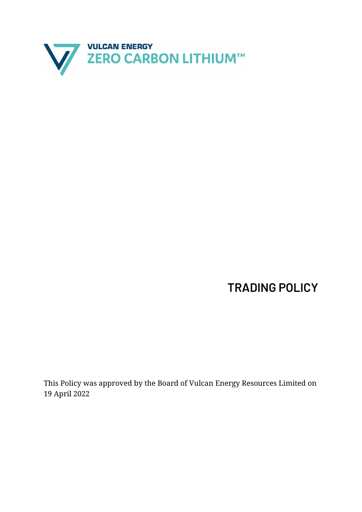

**TRADING POLICY**

This Policy was approved by the Board of Vulcan Energy Resources Limited on 19 April 2022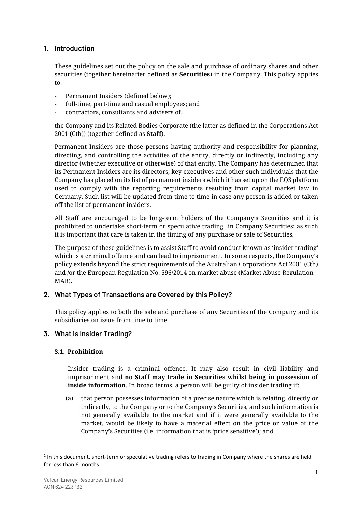# **1. Introduction**

These guidelines set out the policy on the sale and purchase of ordinary shares and other securities (together hereinafter defined as **Securities**) in the Company. This policy applies to:

- Permanent Insiders (defined below);
- full-time, part-time and casual employees; and
- contractors, consultants and advisers of,

the Company and its Related Bodies Corporate (the latter as defined in the Corporations Act 2001 (Cth)) (together defined as **Staff**).

Permanent Insiders are those persons having authority and responsibility for planning, directing, and controlling the activities of the entity, directly or indirectly, including any director (whether executive or otherwise) of that entity. The Company has determined that its Permanent Insiders are its directors, key executives and other such individuals that the Company has placed on its list of permanent insiders which it has set up on the EQS platform used to comply with the reporting requirements resulting from capital market law in Germany. Such list will be updated from time to time in case any person is added or taken off the list of permanent insiders.

All Staff are encouraged to be long-term holders of the Company's Securities and it is prohibited to undertake short-term or speculative trading $^{\rm 1}$  $^{\rm 1}$  $^{\rm 1}$  in Company Securities; as such it is important that care is taken in the timing of any purchase or sale of Securities.

The purpose of these guidelines is to assist Staff to avoid conduct known as 'insider trading' which is a criminal offence and can lead to imprisonment. In some respects, the Company's policy extends beyond the strict requirements of the Australian Corporations Act 2001 (Cth) and /or the European Regulation No. 596/2014 on market abuse (Market Abuse Regulation – MAR).

# **2. What Types of Transactions are Covered by this Policy?**

This policy applies to both the sale and purchase of any Securities of the Company and its subsidiaries on issue from time to time.

# **3. What is Insider Trading?**

# **3.1. Prohibition**

Insider trading is a criminal offence. It may also result in civil liability and imprisonment and **no Staff may trade in Securities whilst being in possession of inside information**. In broad terms, a person will be guilty of insider trading if:

(a) that person possesses information of a precise nature which is relating, directly or indirectly, to the Company or to the Company's Securities, and such information is not generally available to the market and if it were generally available to the market, would be likely to have a material effect on the price or value of the Company's Securities (i.e. information that is 'price sensitive'); and

<span id="page-1-0"></span><sup>&</sup>lt;sup>1</sup> In this document, short-term or speculative trading refers to trading in Company where the shares are held for less than 6 months.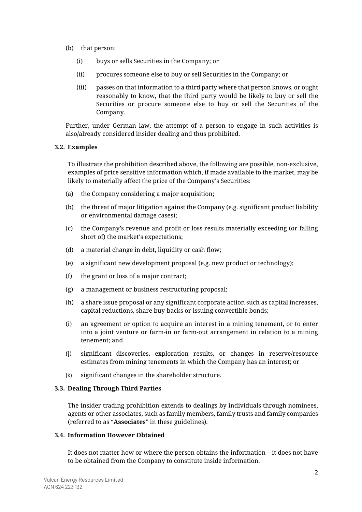- (b) that person:
	- (i) buys or sells Securities in the Company; or
	- (ii) procures someone else to buy or sell Securities in the Company; or
	- (iii) passes on that information to a third party where that person knows, or ought reasonably to know, that the third party would be likely to buy or sell the Securities or procure someone else to buy or sell the Securities of the Company.

Further, under German law, the attempt of a person to engage in such activities is also/already considered insider dealing and thus prohibited.

## **3.2. Examples**

To illustrate the prohibition described above, the following are possible, non-exclusive, examples of price sensitive information which, if made available to the market, may be likely to materially affect the price of the Company's Securities:

- (a) the Company considering a major acquisition;
- (b) the threat of major litigation against the Company (e.g. significant product liability or environmental damage cases);
- (c) the Company's revenue and profit or loss results materially exceeding (or falling short of) the market's expectations;
- (d) a material change in debt, liquidity or cash flow;
- (e) a significant new development proposal (e.g. new product or technology);
- (f) the grant or loss of a major contract;
- (g) a management or business restructuring proposal;
- (h) a share issue proposal or any significant corporate action such as capital increases, capital reductions, share buy-backs or issuing convertible bonds;
- (i) an agreement or option to acquire an interest in a mining tenement, or to enter into a joint venture or farm-in or farm-out arrangement in relation to a mining tenement; and
- (j) significant discoveries, exploration results, or changes in reserve/resource estimates from mining tenements in which the Company has an interest; or
- (k) significant changes in the shareholder structure.

#### **3.3. Dealing Through Third Parties**

The insider trading prohibition extends to dealings by individuals through nominees, agents or other associates, such as family members, family trusts and family companies (referred to as "**Associates**" in these guidelines).

# **3.4. Information However Obtained**

It does not matter how or where the person obtains the information – it does not have to be obtained from the Company to constitute inside information.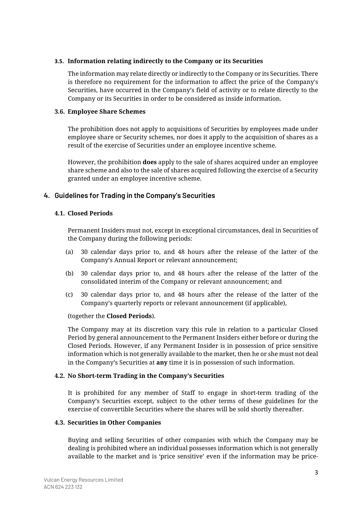## **3.5. Information relating indirectly to the Company or its Securities**

The information may relate directly or indirectly to the Company or its Securities. There is therefore no requirement for the information to affect the price of the Company's Securities, have occurred in the Company's field of activity or to relate directly to the Company or its Securities in order to be considered as inside information.

## **3.6. Employee Share Schemes**

The prohibition does not apply to acquisitions of Securities by employees made under employee share or Security schemes, nor does it apply to the acquisition of shares as a result of the exercise of Securities under an employee incentive scheme.

However, the prohibition **does** apply to the sale of shares acquired under an employee share scheme and also to the sale of shares acquired following the exercise of a Security granted under an employee incentive scheme.

# **4. Guidelines for Trading in the Company's Securities**

## **4.1. Closed Periods**

Permanent Insiders must not, except in exceptional circumstances, deal in Securities of the Company during the following periods:

- (a) 30 calendar days prior to, and 48 hours after the release of the latter of the Company's Annual Report or relevant announcement;
- (b) 30 calendar days prior to, and 48 hours after the release of the latter of the consolidated interim of the Company or relevant announcement; and
- (c) 30 calendar days prior to, and 48 hours after the release of the latter of the Company's quarterly reports or relevant announcement (if applicable),

#### (together the **Closed Periods**).

The Company may at its discretion vary this rule in relation to a particular Closed Period by general announcement to the Permanent Insiders either before or during the Closed Periods. However, if any Permanent Insider is in possession of price sensitive information which is not generally available to the market, then he or she must not deal in the Company's Securities at **any** time it is in possession of such information.

## **4.2. No Short-term Trading in the Company's Securities**

It is prohibited for any member of Staff to engage in short-term trading of the Company's Securities except, subject to the other terms of these guidelines for the exercise of convertible Securities where the shares will be sold shortly thereafter.

#### **4.3. Securities in Other Companies**

Buying and selling Securities of other companies with which the Company may be dealing is prohibited where an individual possesses information which is not generally available to the market and is 'price sensitive' even if the information may be price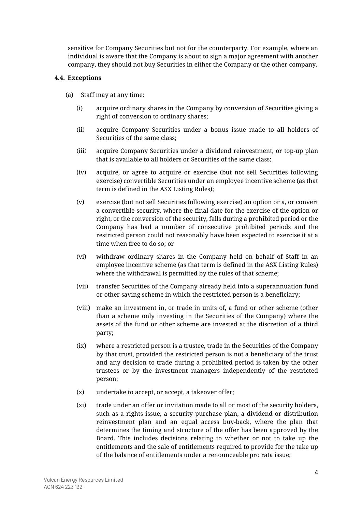sensitive for Company Securities but not for the counterparty. For example, where an individual is aware that the Company is about to sign a major agreement with another company, they should not buy Securities in either the Company or the other company.

## <span id="page-4-0"></span>**4.4. Exceptions**

- (a) Staff may at any time:
	- (i) acquire ordinary shares in the Company by conversion of Securities giving a right of conversion to ordinary shares;
	- (ii) acquire Company Securities under a bonus issue made to all holders of Securities of the same class;
	- (iii) acquire Company Securities under a dividend reinvestment, or top-up plan that is available to all holders or Securities of the same class;
	- (iv) acquire, or agree to acquire or exercise (but not sell Securities following exercise) convertible Securities under an employee incentive scheme (as that term is defined in the ASX Listing Rules);
	- (v) exercise (but not sell Securities following exercise) an option or a, or convert a convertible security, where the final date for the exercise of the option or right, or the conversion of the security, falls during a prohibited period or the Company has had a number of consecutive prohibited periods and the restricted person could not reasonably have been expected to exercise it at a time when free to do so; or
	- (vi) withdraw ordinary shares in the Company held on behalf of Staff in an employee incentive scheme (as that term is defined in the ASX Listing Rules) where the withdrawal is permitted by the rules of that scheme;
	- (vii) transfer Securities of the Company already held into a superannuation fund or other saving scheme in which the restricted person is a beneficiary;
	- (viii) make an investment in, or trade in units of, a fund or other scheme (other than a scheme only investing in the Securities of the Company) where the assets of the fund or other scheme are invested at the discretion of a third party;
	- (ix) where a restricted person is a trustee, trade in the Securities of the Company by that trust, provided the restricted person is not a beneficiary of the trust and any decision to trade during a prohibited period is taken by the other trustees or by the investment managers independently of the restricted person;
	- (x) undertake to accept, or accept, a takeover offer;
	- (xi) trade under an offer or invitation made to all or most of the security holders, such as a rights issue, a security purchase plan, a dividend or distribution reinvestment plan and an equal access buy-back, where the plan that determines the timing and structure of the offer has been approved by the Board. This includes decisions relating to whether or not to take up the entitlements and the sale of entitlements required to provide for the take up of the balance of entitlements under a renounceable pro rata issue;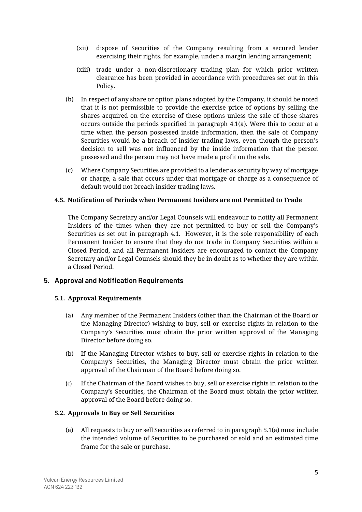- (xii) dispose of Securities of the Company resulting from a secured lender exercising their rights, for example, under a margin lending arrangement;
- (xiii) trade under a non-discretionary trading plan for which prior written clearance has been provided in accordance with procedures set out in this Policy.
- (b) In respect of any share or option plans adopted by the Company, it should be noted that it is not permissible to provide the exercise price of options by selling the shares acquired on the exercise of these options unless the sale of those shares occurs outside the periods specified in paragraph [4.1\(a\).](#page-4-0) Were this to occur at a time when the person possessed inside information, then the sale of Company Securities would be a breach of insider trading laws, even though the person's decision to sell was not influenced by the inside information that the person possessed and the person may not have made a profit on the sale.
- (c) Where Company Securities are provided to a lender as security by way of mortgage or charge, a sale that occurs under that mortgage or charge as a consequence of default would not breach insider trading laws.

## **4.5. Notification of Periods when Permanent Insiders are not Permitted to Trade**

The Company Secretary and/or Legal Counsels will endeavour to notify all Permanent Insiders of the times when they are not permitted to buy or sell the Company's Securities as set out in paragraph [4.1.](#page-4-0) However, it is the sole responsibility of each Permanent Insider to ensure that they do not trade in Company Securities within a Closed Period, and all Permanent Insiders are encouraged to contact the Company Secretary and/or Legal Counsels should they be in doubt as to whether they are within a Closed Period.

# **5. Approval and Notification Requirements**

#### <span id="page-5-1"></span><span id="page-5-0"></span>**5.1. Approval Requirements**

- (a) Any member of the Permanent Insiders (other than the Chairman of the Board or the Managing Director) wishing to buy, sell or exercise rights in relation to the Company's Securities must obtain the prior written approval of the Managing Director before doing so.
- (b) If the Managing Director wishes to buy, sell or exercise rights in relation to the Company's Securities, the Managing Director must obtain the prior written approval of the Chairman of the Board before doing so.
- (c) If the Chairman of the Board wishes to buy, sell or exercise rights in relation to the Company's Securities, the Chairman of the Board must obtain the prior written approval of the Board before doing so.

#### <span id="page-5-2"></span>**5.2. Approvals to Buy or Sell Securities**

(a) All requests to buy or sell Securities as referred to in paragrap[h 5.1\(a\)](#page-5-0) must include the intended volume of Securities to be purchased or sold and an estimated time frame for the sale or purchase.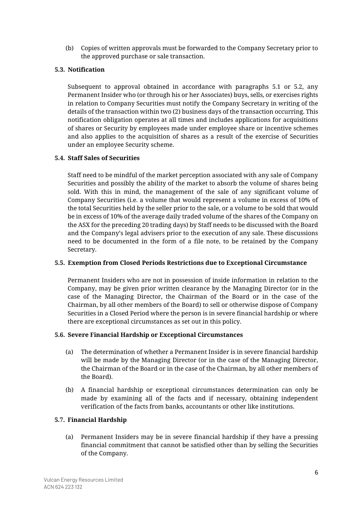(b) Copies of written approvals must be forwarded to the Company Secretary prior to the approved purchase or sale transaction.

# **5.3. Notification**

Subsequent to approval obtained in accordance with paragraphs [5.1](#page-5-1) or [5.2,](#page-5-2) any Permanent Insider who (or through his or her Associates) buys, sells, or exercises rights in relation to Company Securities must notify the Company Secretary in writing of the details of the transaction within two (2) business days of the transaction occurring. This notification obligation operates at all times and includes applications for acquisitions of shares or Security by employees made under employee share or incentive schemes and also applies to the acquisition of shares as a result of the exercise of Securities under an employee Security scheme.

## **5.4. Staff Sales of Securities**

Staff need to be mindful of the market perception associated with any sale of Company Securities and possibly the ability of the market to absorb the volume of shares being sold. With this in mind, the management of the sale of any significant volume of Company Securities (i.e. a volume that would represent a volume in excess of 10% of the total Securities held by the seller prior to the sale, or a volume to be sold that would be in excess of 10% of the average daily traded volume of the shares of the Company on the ASX for the preceding 20 trading days) by Staff needs to be discussed with the Board and the Company's legal advisers prior to the execution of any sale. These discussions need to be documented in the form of a file note, to be retained by the Company Secretary.

#### **5.5. Exemption from Closed Periods Restrictions due to Exceptional Circumstance**

Permanent Insiders who are not in possession of inside information in relation to the Company, may be given prior written clearance by the Managing Director (or in the case of the Managing Director, the Chairman of the Board or in the case of the Chairman, by all other members of the Board) to sell or otherwise dispose of Company Securities in a Closed Period where the person is in severe financial hardship or where there are exceptional circumstances as set out in this policy.

#### **5.6. Severe Financial Hardship or Exceptional Circumstances**

- (a) The determination of whether a Permanent Insider is in severe financial hardship will be made by the Managing Director (or in the case of the Managing Director, the Chairman of the Board or in the case of the Chairman, by all other members of the Board).
- (b) A financial hardship or exceptional circumstances determination can only be made by examining all of the facts and if necessary, obtaining independent verification of the facts from banks, accountants or other like institutions.

# **5.7. Financial Hardship**

(a) Permanent Insiders may be in severe financial hardship if they have a pressing financial commitment that cannot be satisfied other than by selling the Securities of the Company.